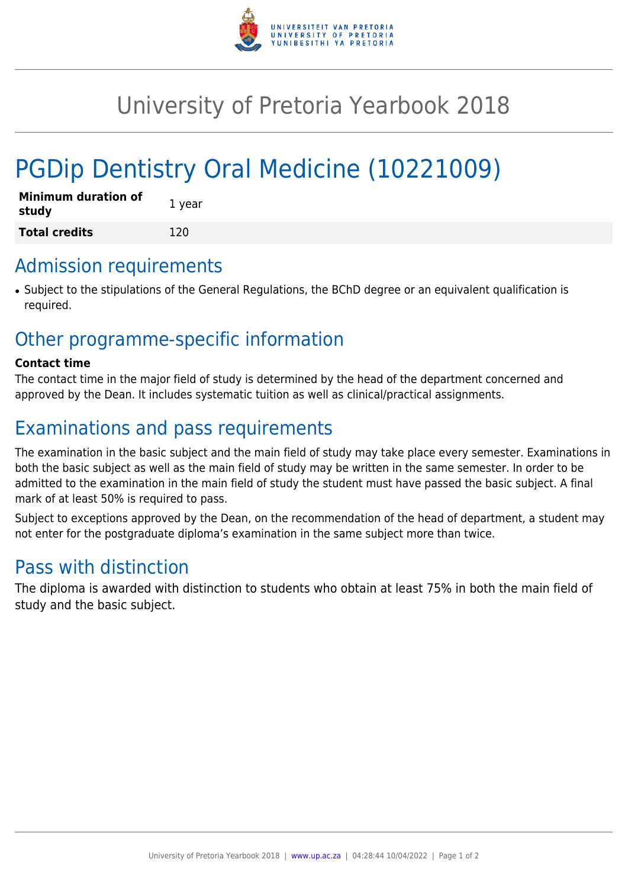

# University of Pretoria Yearbook 2018

# PGDip Dentistry Oral Medicine (10221009)

| <b>Minimum duration of</b><br>study | 1 year |
|-------------------------------------|--------|
| <b>Total credits</b>                | 120    |

#### Admission requirements

● Subject to the stipulations of the General Regulations, the BChD degree or an equivalent qualification is required.

### Other programme-specific information

#### **Contact time**

The contact time in the major field of study is determined by the head of the department concerned and approved by the Dean. It includes systematic tuition as well as clinical/practical assignments.

## Examinations and pass requirements

The examination in the basic subject and the main field of study may take place every semester. Examinations in both the basic subject as well as the main field of study may be written in the same semester. In order to be admitted to the examination in the main field of study the student must have passed the basic subject. A final mark of at least 50% is required to pass.

Subject to exceptions approved by the Dean, on the recommendation of the head of department, a student may not enter for the postgraduate diploma's examination in the same subject more than twice.

### Pass with distinction

The diploma is awarded with distinction to students who obtain at least 75% in both the main field of study and the basic subject.